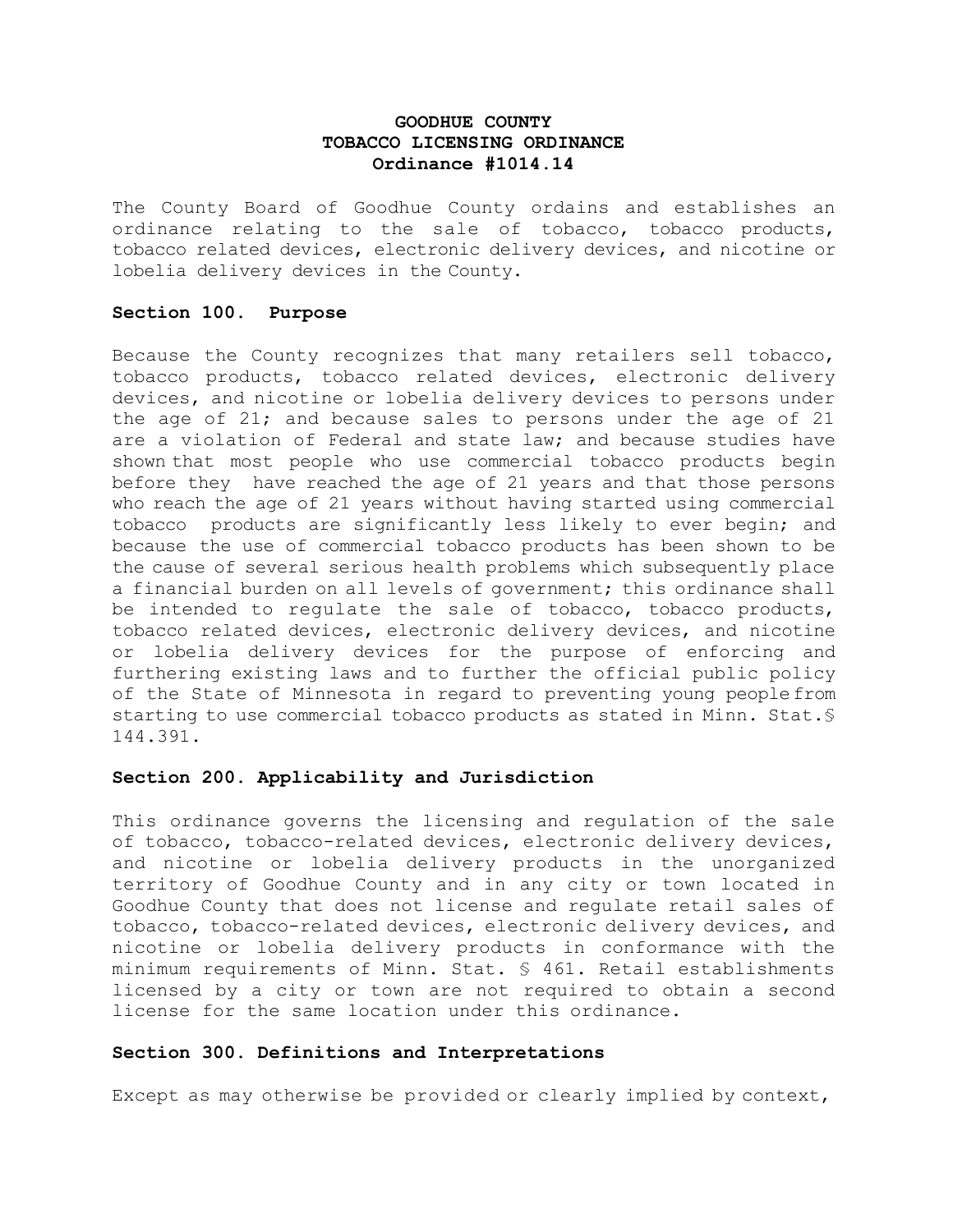# **GOODHUE COUNTY TOBACCO LICENSING ORDINANCE Ordinance #1014.14**

The County Board of Goodhue County ordains and establishes an ordinance relating to the sale of tobacco, tobacco products, tobacco related devices, electronic delivery devices, and nicotine or lobelia delivery devices in the County.

### **Section 100. Purpose**

Because the County recognizes that many retailers sell tobacco, tobacco products, tobacco related devices, electronic delivery devices, and nicotine or lobelia delivery devices to persons under the age of 21; and because sales to persons under the age of 21 are a violation of Federal and state law; and because studies have shown that most people who use commercial tobacco products begin before they have reached the age of 21 years and that those persons who reach the age of 21 years without having started using commercial tobacco products are significantly less likely to ever begin; and because the use of commercial tobacco products has been shown to be the cause of several serious health problems which subsequently place a financial burden on all levels of government; this ordinance shall be intended to regulate the sale of tobacco, tobacco products, tobacco related devices, electronic delivery devices, and nicotine or lobelia delivery devices for the purpose of enforcing and furthering existing laws and to further the official public policy of the State of Minnesota in regard to preventing young peoplefrom starting to use commercial tobacco products as stated in Minn. Stat.§ 144.391.

# **Section 200. Applicability and Jurisdiction**

This ordinance governs the licensing and regulation of the sale of tobacco, tobacco-related devices, electronic delivery devices, and nicotine or lobelia delivery products in the unorganized territory of Goodhue County and in any city or town located in Goodhue County that does not license and regulate retail sales of tobacco, tobacco-related devices, electronic delivery devices, and nicotine or lobelia delivery products in conformance with the minimum requirements of Minn. Stat. § 461. Retail establishments licensed by a city or town are not required to obtain a second license for the same location under this ordinance.

# **Section 300. Definitions and Interpretations**

Except as may otherwise be provided or clearly implied by context,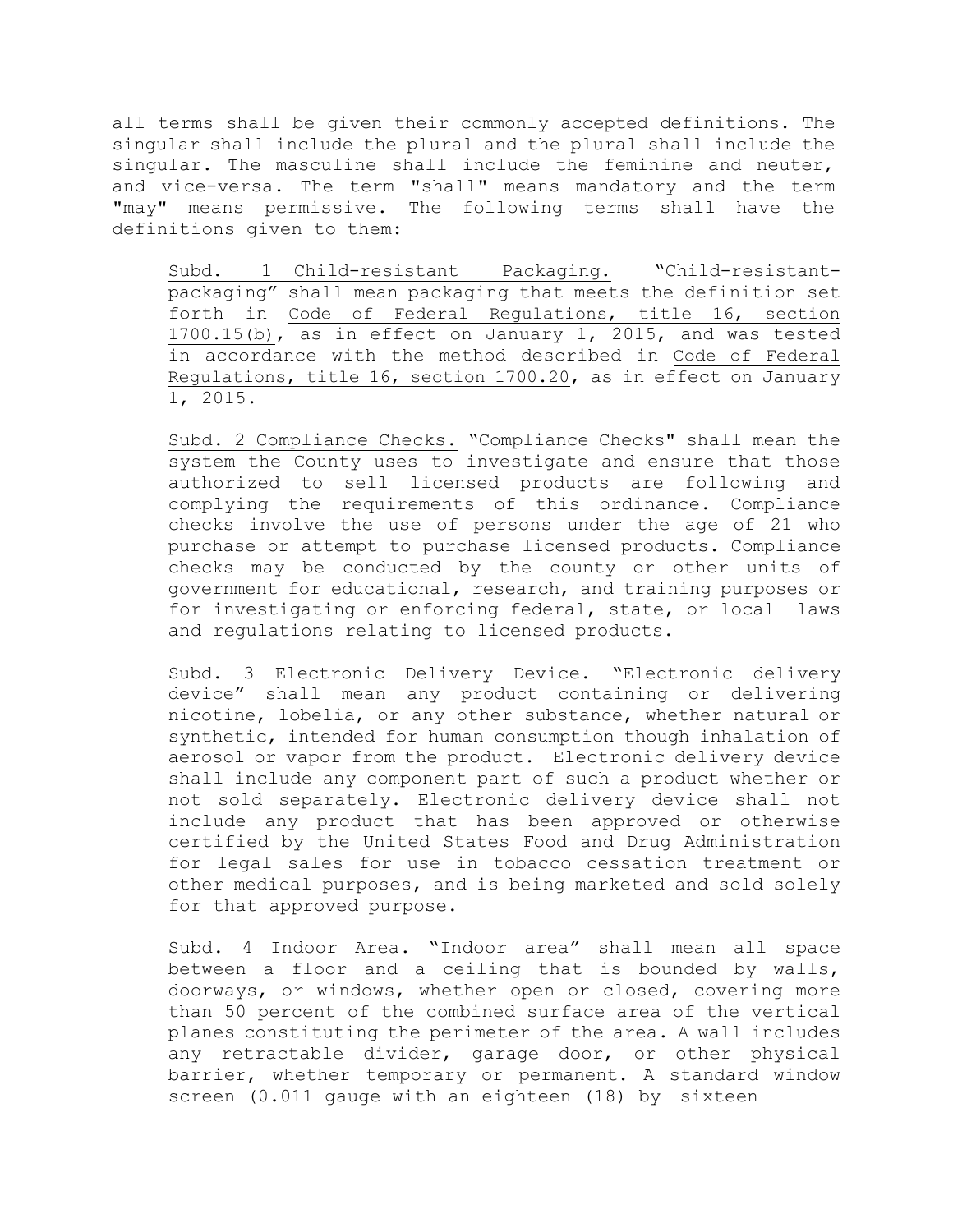all terms shall be given their commonly accepted definitions. The singular shall include the plural and the plural shall include the singular. The masculine shall include the feminine and neuter, and vice-versa. The term "shall" means mandatory and the term "may" means permissive. The following terms shall have the definitions given to them:

Subd. 1 Child-resistant Packaging. "Child-resistantpackaging" shall mean packaging that meets the definition set forth in Code of Federal Regulations, title 16, section 1700.15(b), as in effect on January 1, 2015, and was tested in accordance with the method described in Code of Federal Regulations, title 16, section 1700.20, as in effect on January 1, 2015.

Subd. 2 Compliance Checks. "Compliance Checks" shall mean the system the County uses to investigate and ensure that those authorized to sell licensed products are following and complying the requirements of this ordinance. Compliance checks involve the use of persons under the age of 21 who purchase or attempt to purchase licensed products. Compliance checks may be conducted by the county or other units of government for educational, research, and training purposes or for investigating or enforcing federal, state, or local laws and regulations relating to licensed products.

Subd. 3 Electronic Delivery Device. "Electronic delivery device" shall mean any product containing or delivering nicotine, lobelia, or any other substance, whether natural or synthetic, intended for human consumption though inhalation of aerosol or vapor from the product. Electronic delivery device shall include any component part of such a product whether or not sold separately. Electronic delivery device shall not include any product that has been approved or otherwise certified by the United States Food and Drug Administration for legal sales for use in tobacco cessation treatment or other medical purposes, and is being marketed and sold solely for that approved purpose.

Subd. 4 Indoor Area. "Indoor area" shall mean all space between a floor and a ceiling that is bounded by walls, doorways, or windows, whether open or closed, covering more than 50 percent of the combined surface area of the vertical planes constituting the perimeter of the area. A wall includes any retractable divider, garage door, or other physical barrier, whether temporary or permanent. A standard window screen (0.011 gauge with an eighteen (18) by sixteen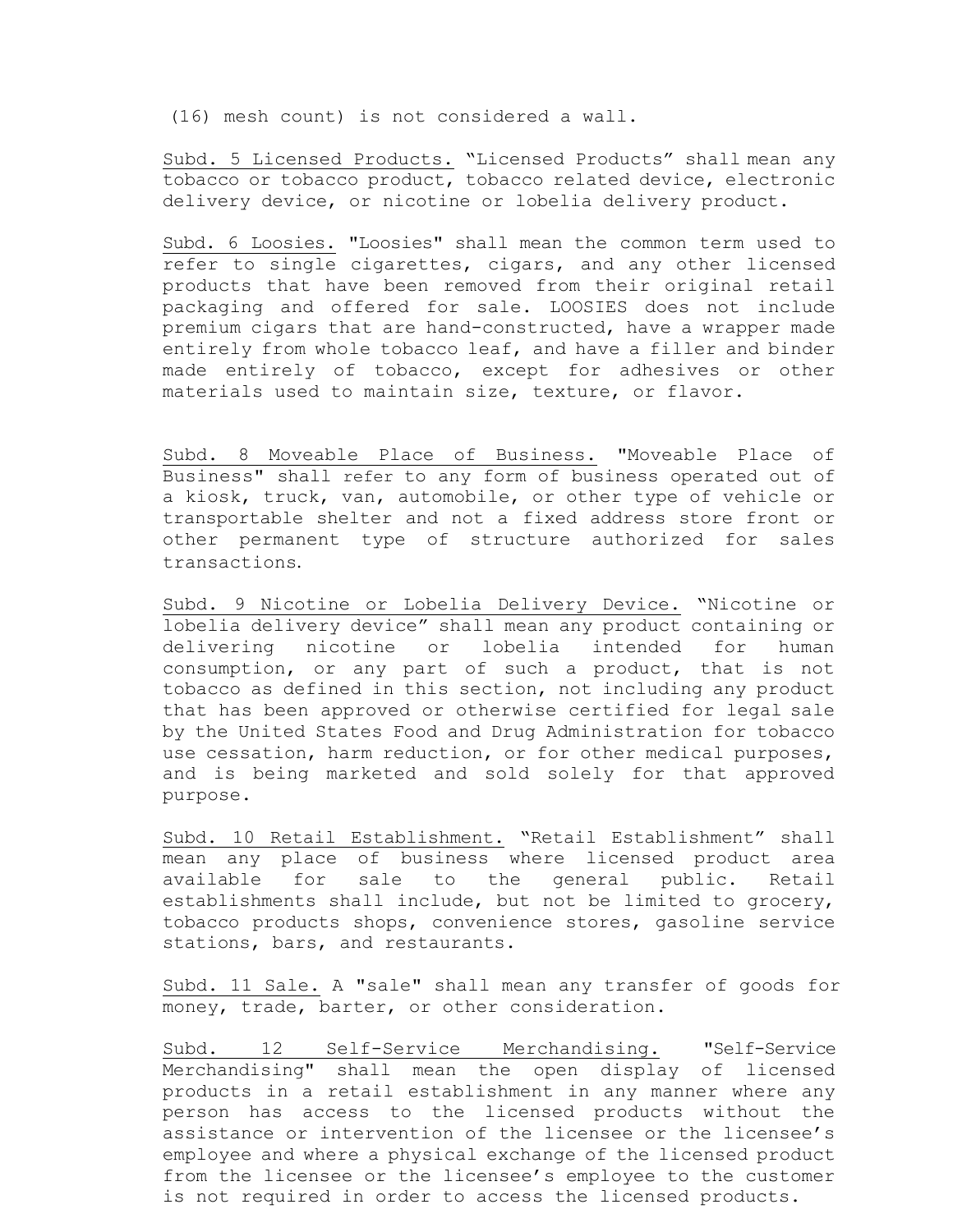(16) mesh count) is not considered a wall.

Subd. 5 Licensed Products. "Licensed Products" shall mean any tobacco or tobacco product, tobacco related device, electronic delivery device, or nicotine or lobelia delivery product.

Subd. 6 Loosies. "Loosies" shall mean the common term used to refer to single cigarettes, cigars, and any other licensed products that have been removed from their original retail packaging and offered for sale. LOOSIES does not include premium cigars that are hand-constructed, have a wrapper made entirely from whole tobacco leaf, and have a filler and binder made entirely of tobacco, except for adhesives or other materials used to maintain size, texture, or flavor.

Subd. 8 Moveable Place of Business. "Moveable Place of Business" shall refer to any form of business operated out of a kiosk, truck, van, automobile, or other type of vehicle or transportable shelter and not a fixed address store front or other permanent type of structure authorized for sales transactions.

Subd. 9 Nicotine or Lobelia Delivery Device. "Nicotine or lobelia delivery device" shall mean any product containing or delivering nicotine or lobelia intended for human consumption, or any part of such a product, that is not tobacco as defined in this section, not including any product that has been approved or otherwise certified for legal sale by the United States Food and Drug Administration for tobacco use cessation, harm reduction, or for other medical purposes, and is being marketed and sold solely for that approved purpose.

Subd. 10 Retail Establishment. "Retail Establishment" shall mean any place of business where licensed product area available for sale to the general public. Retail establishments shall include, but not be limited to grocery, tobacco products shops, convenience stores, gasoline service stations, bars, and restaurants.

Subd. 11 Sale. A "sale" shall mean any transfer of goods for money, trade, barter, or other consideration.

Subd. 12 Self-Service Merchandising. "Self-Service Merchandising" shall mean the open display of licensed products in a retail establishment in any manner where any person has access to the licensed products without the assistance or intervention of the licensee or the licensee's employee and where a physical exchange of the licensed product from the licensee or the licensee's employee to the customer is not required in order to access the licensed products.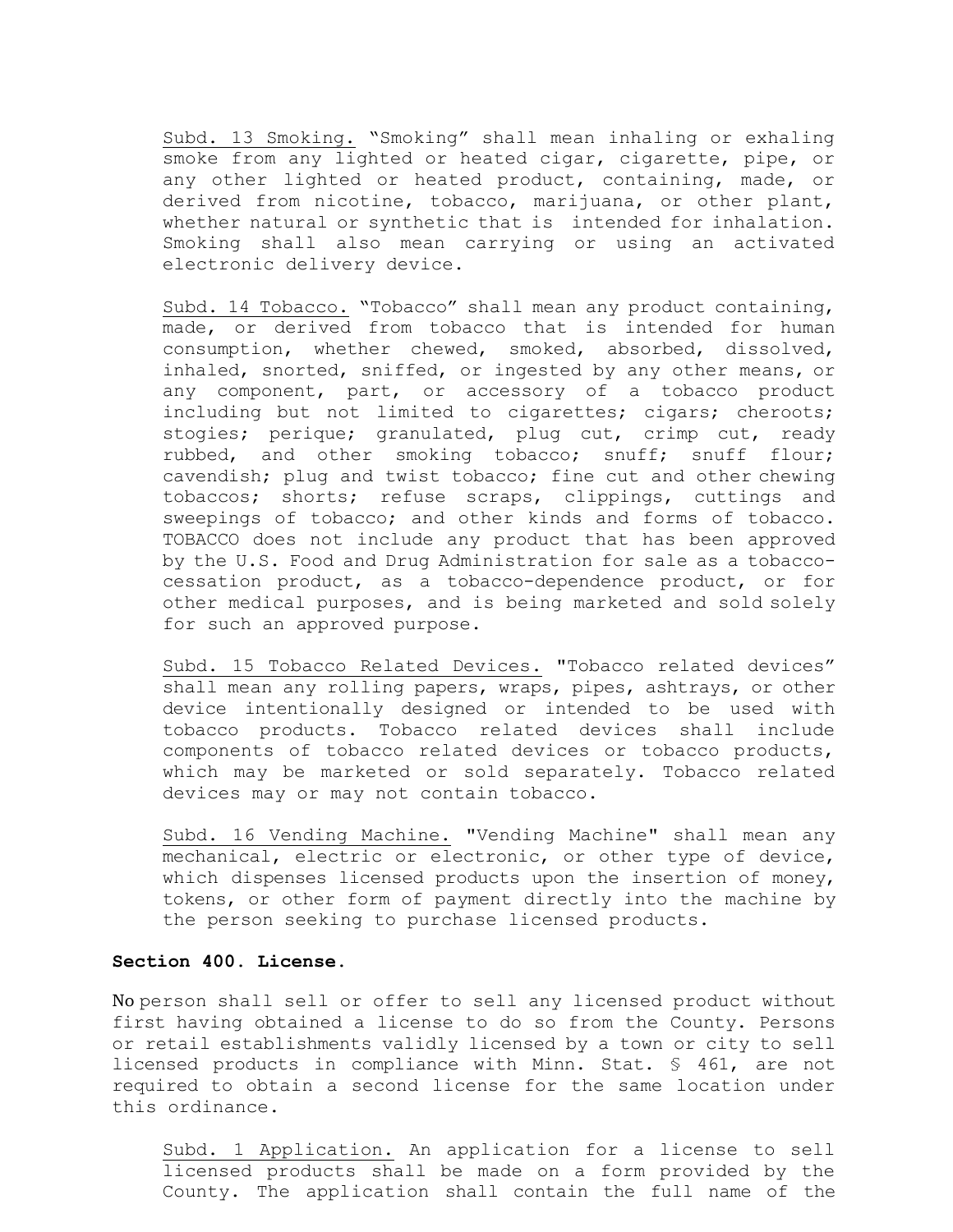Subd. 13 Smoking. "Smoking" shall mean inhaling or exhaling smoke from any lighted or heated cigar, cigarette, pipe, or any other lighted or heated product, containing, made, or derived from nicotine, tobacco, marijuana, or other plant, whether natural or synthetic that is intended for inhalation. Smoking shall also mean carrying or using an activated electronic delivery device.

Subd. 14 Tobacco. "Tobacco" shall mean any product containing, made, or derived from tobacco that is intended for human consumption, whether chewed, smoked, absorbed, dissolved, inhaled, snorted, sniffed, or ingested by any other means, or any component, part, or accessory of a tobacco product including but not limited to cigarettes; cigars; cheroots; stogies; perique; granulated, plug cut, crimp cut, ready rubbed, and other smoking tobacco; snuff; snuff flour; cavendish; plug and twist tobacco; fine cut and other chewing tobaccos; shorts; refuse scraps, clippings, cuttings and sweepings of tobacco; and other kinds and forms of tobacco. TOBACCO does not include any product that has been approved by the U.S. Food and Drug Administration for sale as a tobaccocessation product, as a tobacco-dependence product, or for other medical purposes, and is being marketed and sold solely for such an approved purpose.

Subd. 15 Tobacco Related Devices. "Tobacco related devices" shall mean any rolling papers, wraps, pipes, ashtrays, or other device intentionally designed or intended to be used with tobacco products. Tobacco related devices shall include components of tobacco related devices or tobacco products, which may be marketed or sold separately. Tobacco related devices may or may not contain tobacco.

Subd. 16 Vending Machine. "Vending Machine" shall mean any mechanical, electric or electronic, or other type of device, which dispenses licensed products upon the insertion of money, tokens, or other form of payment directly into the machine by the person seeking to purchase licensed products.

#### **Section 400. License.**

No person shall sell or offer to sell any licensed product without first having obtained a license to do so from the County. Persons or retail establishments validly licensed by a town or city to sell licensed products in compliance with Minn. Stat. § 461, are not required to obtain a second license for the same location under this ordinance.

Subd. 1 Application. An application for a license to sell licensed products shall be made on a form provided by the County. The application shall contain the full name of the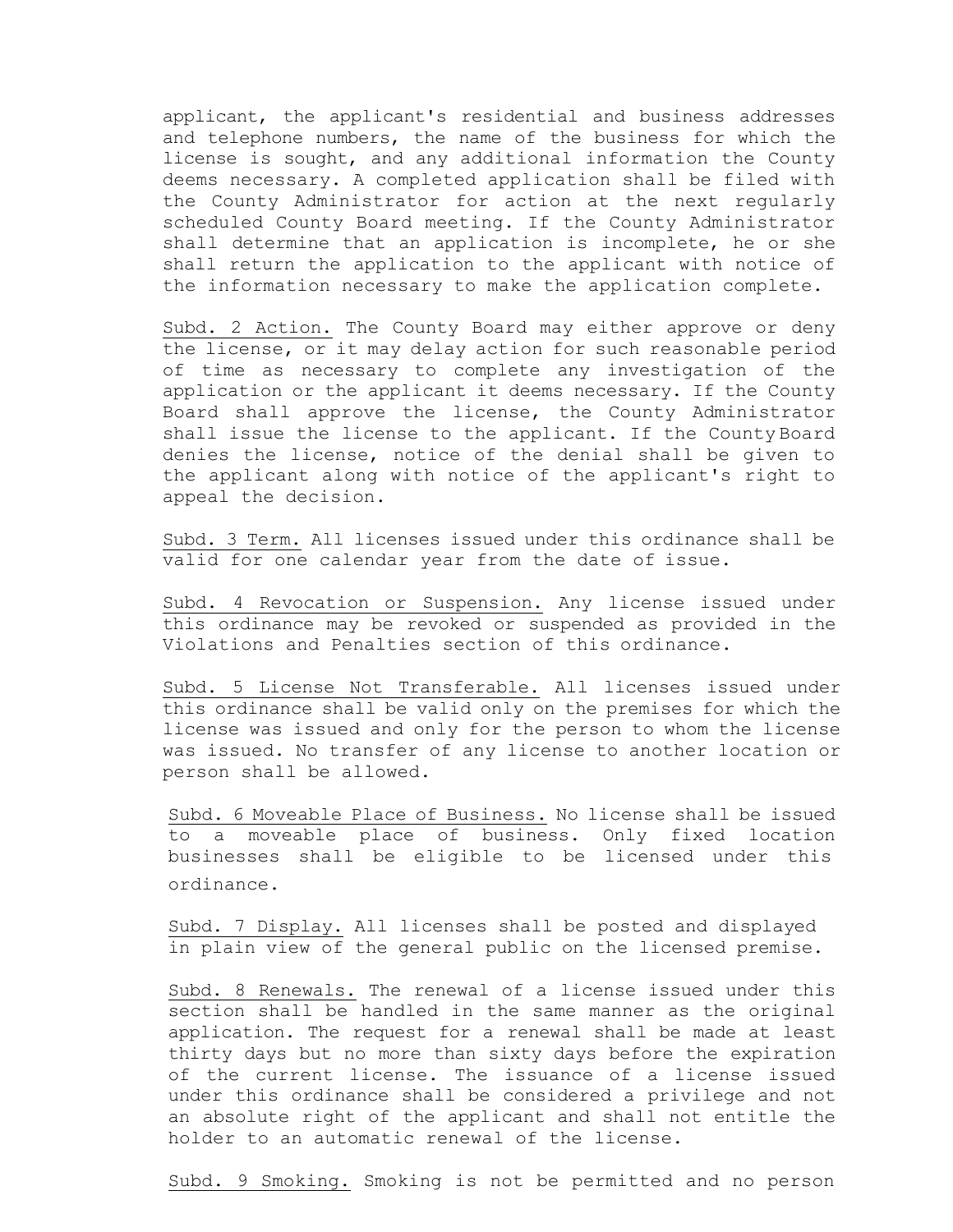applicant, the applicant's residential and business addresses and telephone numbers, the name of the business for which the license is sought, and any additional information the County deems necessary. A completed application shall be filed with the County Administrator for action at the next regularly scheduled County Board meeting. If the County Administrator shall determine that an application is incomplete, he or she shall return the application to the applicant with notice of the information necessary to make the application complete.

Subd. 2 Action. The County Board may either approve or deny the license, or it may delay action for such reasonable period of time as necessary to complete any investigation of the application or the applicant it deems necessary. If the County Board shall approve the license, the County Administrator shall issue the license to the applicant. If the County Board denies the license, notice of the denial shall be given to the applicant along with notice of the applicant's right to appeal the decision.

Subd. 3 Term. All licenses issued under this ordinance shall be valid for one calendar year from the date of issue.

Subd. 4 Revocation or Suspension. Any license issued under this ordinance may be revoked or suspended as provided in the Violations and Penalties section of this ordinance.

Subd. 5 License Not Transferable. All licenses issued under this ordinance shall be valid only on the premises for which the license was issued and only for the person to whom the license was issued. No transfer of any license to another location or person shall be allowed.

Subd. 6 Moveable Place of Business. No license shall be issued to a moveable place of business. Only fixed location businesses shall be eligible to be licensed under this ordinance.

Subd. 7 Display. All licenses shall be posted and displayed in plain view of the general public on the licensed premise.

Subd. 8 Renewals. The renewal of a license issued under this section shall be handled in the same manner as the original application. The request for a renewal shall be made at least thirty days but no more than sixty days before the expiration of the current license. The issuance of a license issued under this ordinance shall be considered a privilege and not an absolute right of the applicant and shall not entitle the holder to an automatic renewal of the license.

Subd. 9 Smoking. Smoking is not be permitted and no person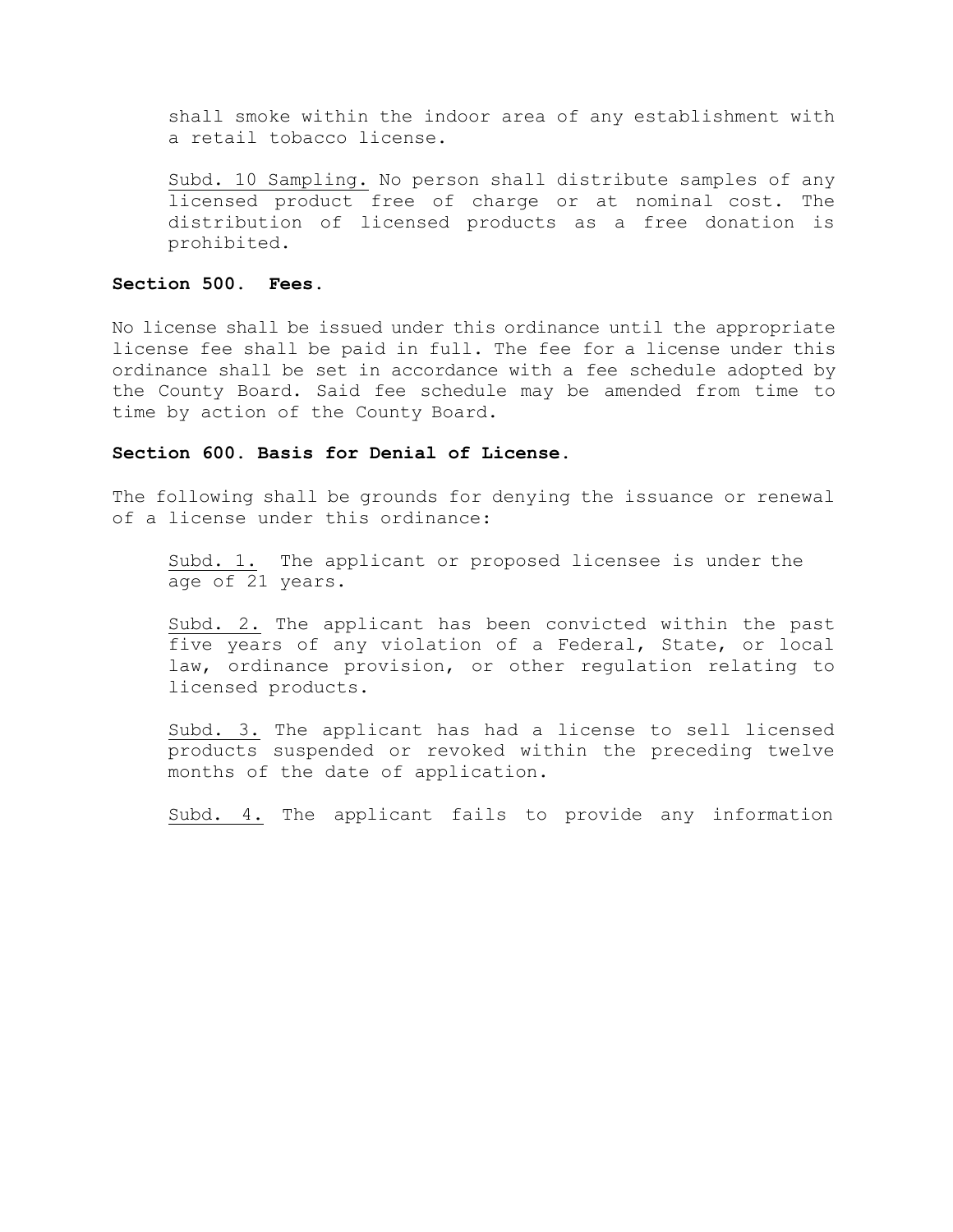shall smoke within the indoor area of any establishment with a retail tobacco license.

Subd. 10 Sampling. No person shall distribute samples of any licensed product free of charge or at nominal cost. The distribution of licensed products as a free donation is prohibited.

## **Section 500. Fees.**

No license shall be issued under this ordinance until the appropriate license fee shall be paid in full. The fee for a license under this ordinance shall be set in accordance with a fee schedule adopted by the County Board. Said fee schedule may be amended from time to time by action of the County Board.

## **Section 600. Basis for Denial of License.**

The following shall be grounds for denying the issuance or renewal of a license under this ordinance:

Subd. 1. The applicant or proposed licensee is under the age of 21 years.

Subd. 2. The applicant has been convicted within the past five years of any violation of a Federal, State, or local law, ordinance provision, or other regulation relating to licensed products.

Subd. 3. The applicant has had a license to sell licensed products suspended or revoked within the preceding twelve months of the date of application.

Subd. 4. The applicant fails to provide any information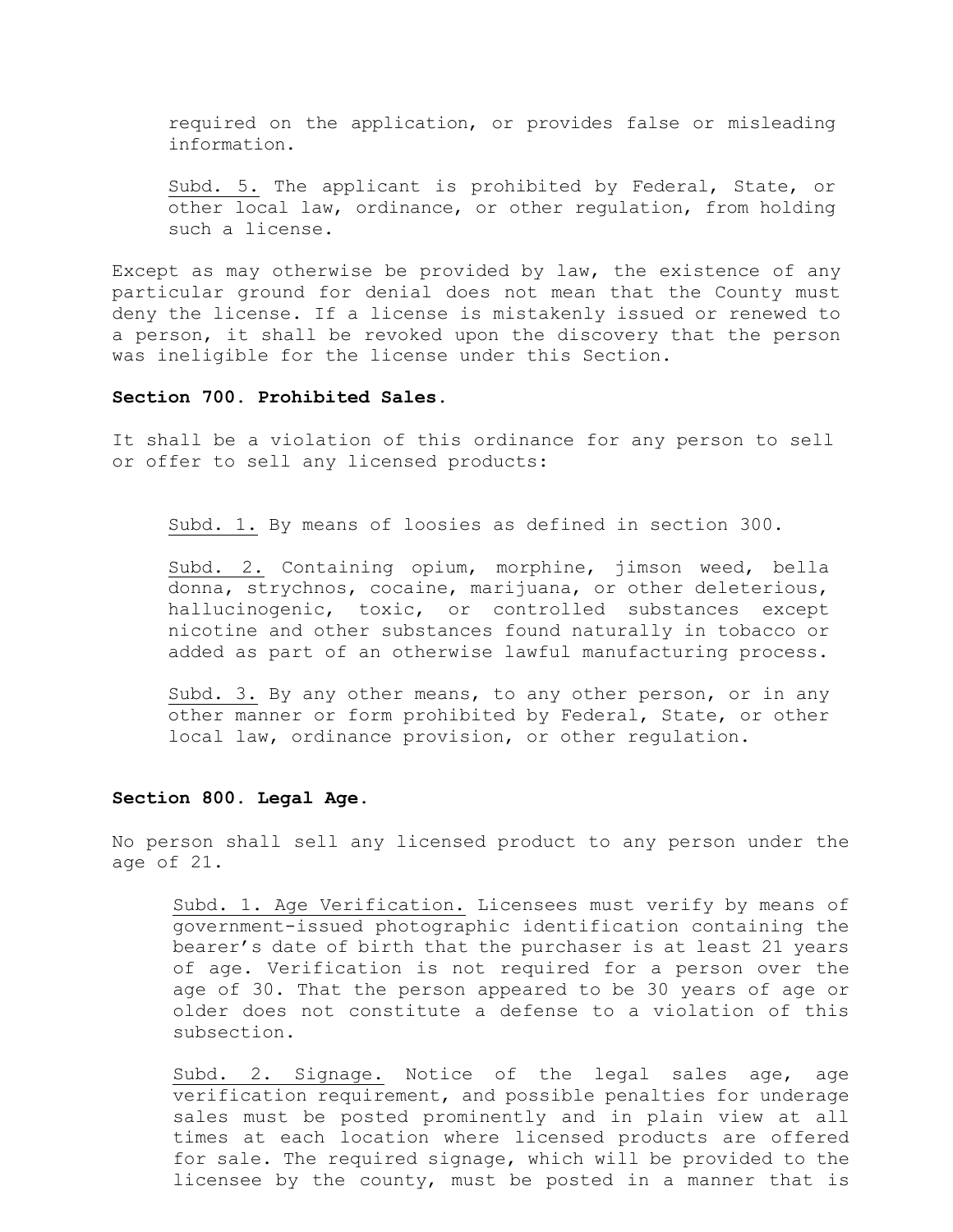required on the application, or provides false or misleading information.

Subd. 5. The applicant is prohibited by Federal, State, or other local law, ordinance, or other regulation, from holding such a license.

Except as may otherwise be provided by law, the existence of any particular ground for denial does not mean that the County must deny the license. If a license is mistakenly issued or renewed to a person, it shall be revoked upon the discovery that the person was ineligible for the license under this Section.

#### **Section 700. Prohibited Sales.**

It shall be a violation of this ordinance for any person to sell or offer to sell any licensed products:

Subd. 1. By means of loosies as defined in section 300.

Subd. 2. Containing opium, morphine, jimson weed, bella donna, strychnos, cocaine, marijuana, or other deleterious, hallucinogenic, toxic, or controlled substances except nicotine and other substances found naturally in tobacco or added as part of an otherwise lawful manufacturing process.

Subd. 3. By any other means, to any other person, or in any other manner or form prohibited by Federal, State, or other local law, ordinance provision, or other regulation.

#### **Section 800. Legal Age.**

No person shall sell any licensed product to any person under the age of 21.

Subd. 1. Age Verification. Licensees must verify by means of government-issued photographic identification containing the bearer's date of birth that the purchaser is at least 21 years of age. Verification is not required for a person over the age of 30. That the person appeared to be 30 years of age or older does not constitute a defense to a violation of this subsection.

Subd. 2. Signage. Notice of the legal sales age, age verification requirement, and possible penalties for underage sales must be posted prominently and in plain view at all times at each location where licensed products are offered for sale. The required signage, which will be provided to the licensee by the county, must be posted in a manner that is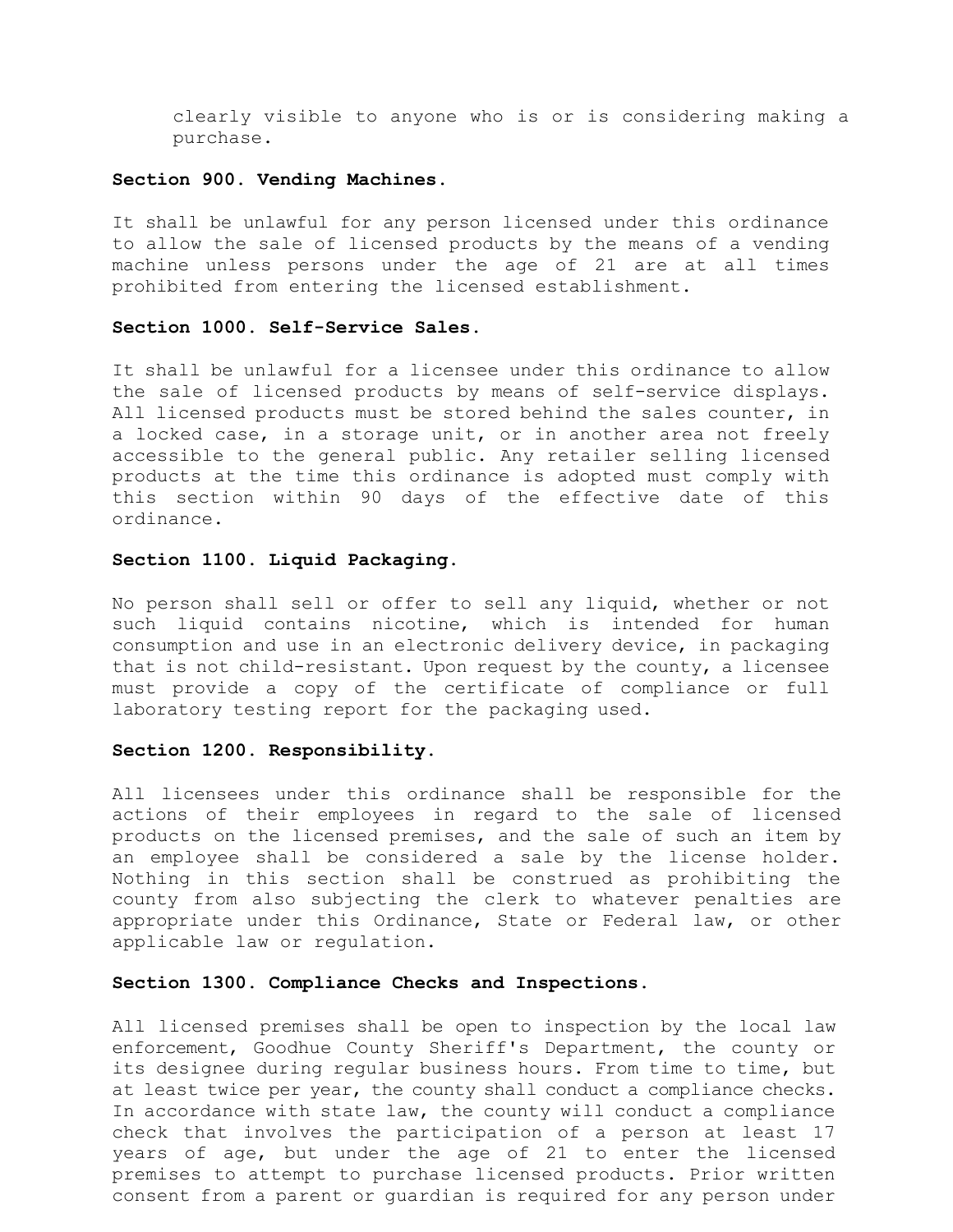clearly visible to anyone who is or is considering making a purchase.

## **Section 900. Vending Machines.**

It shall be unlawful for any person licensed under this ordinance to allow the sale of licensed products by the means of a vending machine unless persons under the age of 21 are at all times prohibited from entering the licensed establishment.

### **Section 1000. Self-Service Sales.**

It shall be unlawful for a licensee under this ordinance to allow the sale of licensed products by means of self-service displays. All licensed products must be stored behind the sales counter, in a locked case, in a storage unit, or in another area not freely accessible to the general public. Any retailer selling licensed products at the time this ordinance is adopted must comply with this section within 90 days of the effective date of this ordinance.

### **Section 1100. Liquid Packaging.**

No person shall sell or offer to sell any liquid, whether or not such liquid contains nicotine, which is intended for human consumption and use in an electronic delivery device, in packaging that is not child-resistant. Upon request by the county, a licensee must provide a copy of the certificate of compliance or full laboratory testing report for the packaging used.

#### **Section 1200. Responsibility.**

All licensees under this ordinance shall be responsible for the actions of their employees in regard to the sale of licensed products on the licensed premises, and the sale of such an item by an employee shall be considered a sale by the license holder. Nothing in this section shall be construed as prohibiting the county from also subjecting the clerk to whatever penalties are appropriate under this Ordinance, State or Federal law, or other applicable law or regulation.

### **Section 1300. Compliance Checks and Inspections.**

All licensed premises shall be open to inspection by the local law enforcement, Goodhue County Sheriff's Department, the county or its designee during regular business hours. From time to time, but at least twice per year, the county shall conduct a compliance checks. In accordance with state law, the county will conduct a compliance check that involves the participation of a person at least 17 years of age, but under the age of 21 to enter the licensed premises to attempt to purchase licensed products. Prior written consent from a parent or guardian is required for any person under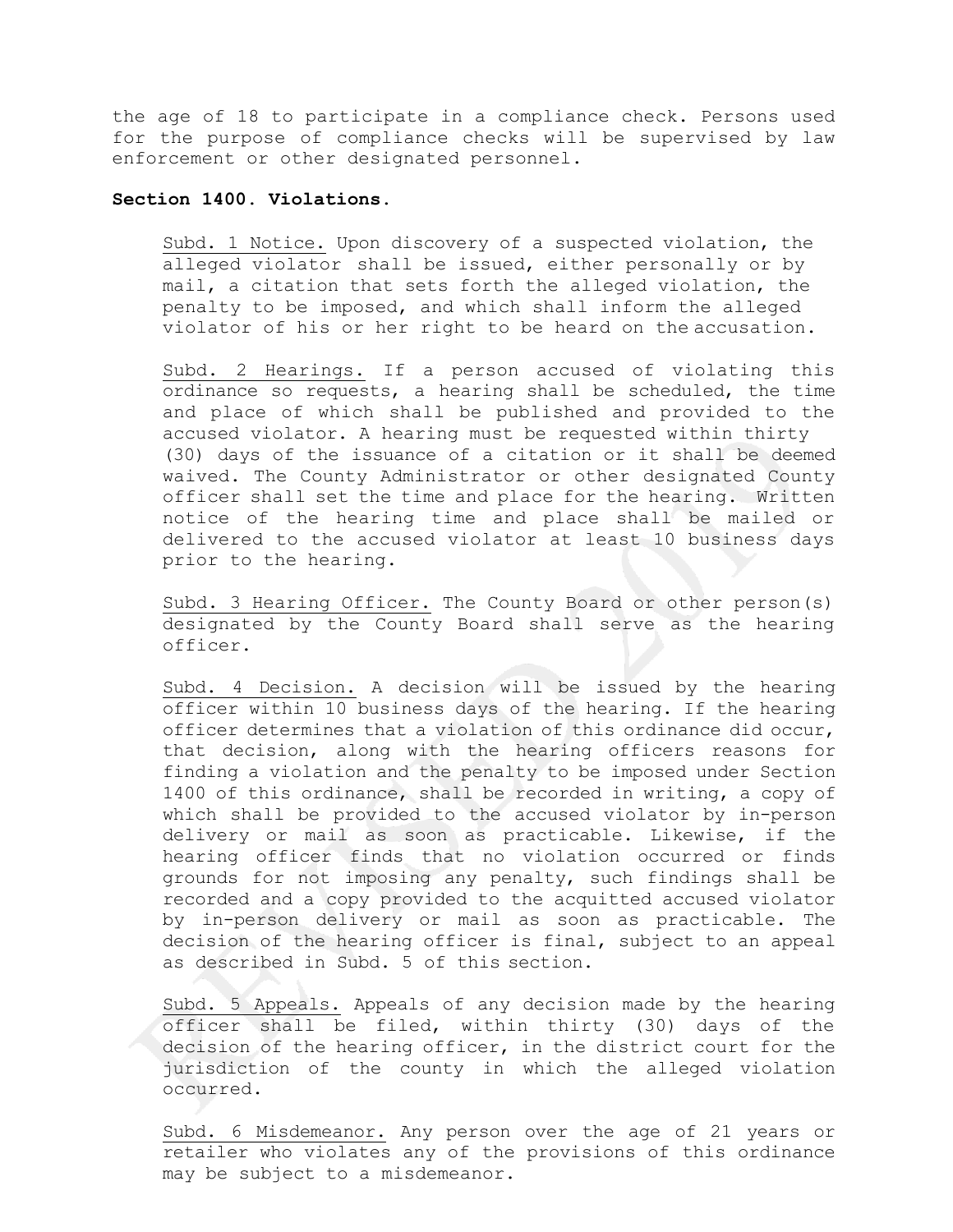the age of 18 to participate in a compliance check. Persons used for the purpose of compliance checks will be supervised by law enforcement or other designated personnel.

### **Section 1400. Violations.**

Subd. 1 Notice. Upon discovery of a suspected violation, the alleged violator shall be issued, either personally or by mail, a citation that sets forth the alleged violation, the penalty to be imposed, and which shall inform the alleged violator of his or her right to be heard on the accusation.

Subd. 2 Hearings. If a person accused of violating this ordinance so requests, a hearing shall be scheduled, the time and place of which shall be published and provided to the accused violator. A hearing must be requested within thirty (30) days of the issuance of a citation or it shall be deemed waived. The County Administrator or other designated County officer shall set the time and place for the hearing. Written notice of the hearing time and place shall be mailed or delivered to the accused violator at least 10 business days prior to the hearing.

Subd. 3 Hearing Officer. The County Board or other person(s) designated by the County Board shall serve as the hearing officer.

Subd. 4 Decision. A decision will be issued by the hearing officer within 10 business days of the hearing. If the hearing officer determines that a violation of this ordinance did occur, that decision, along with the hearing officers reasons for finding a violation and the penalty to be imposed under Section 1400 of this ordinance, shall be recorded in writing, a copy of which shall be provided to the accused violator by in-person delivery or mail as soon as practicable. Likewise, if the hearing officer finds that no violation occurred or finds grounds for not imposing any penalty, such findings shall be recorded and a copy provided to the acquitted accused violator by in-person delivery or mail as soon as practicable. The decision of the hearing officer is final, subject to an appeal as described in Subd. 5 of this section.

Subd. 5 Appeals. Appeals of any decision made by the hearing officer shall be filed, within thirty (30) days of the decision of the hearing officer, in the district court for the jurisdiction of the county in which the alleged violation occurred.

Subd. 6 Misdemeanor. Any person over the age of 21 years or retailer who violates any of the provisions of this ordinance may be subject to a misdemeanor.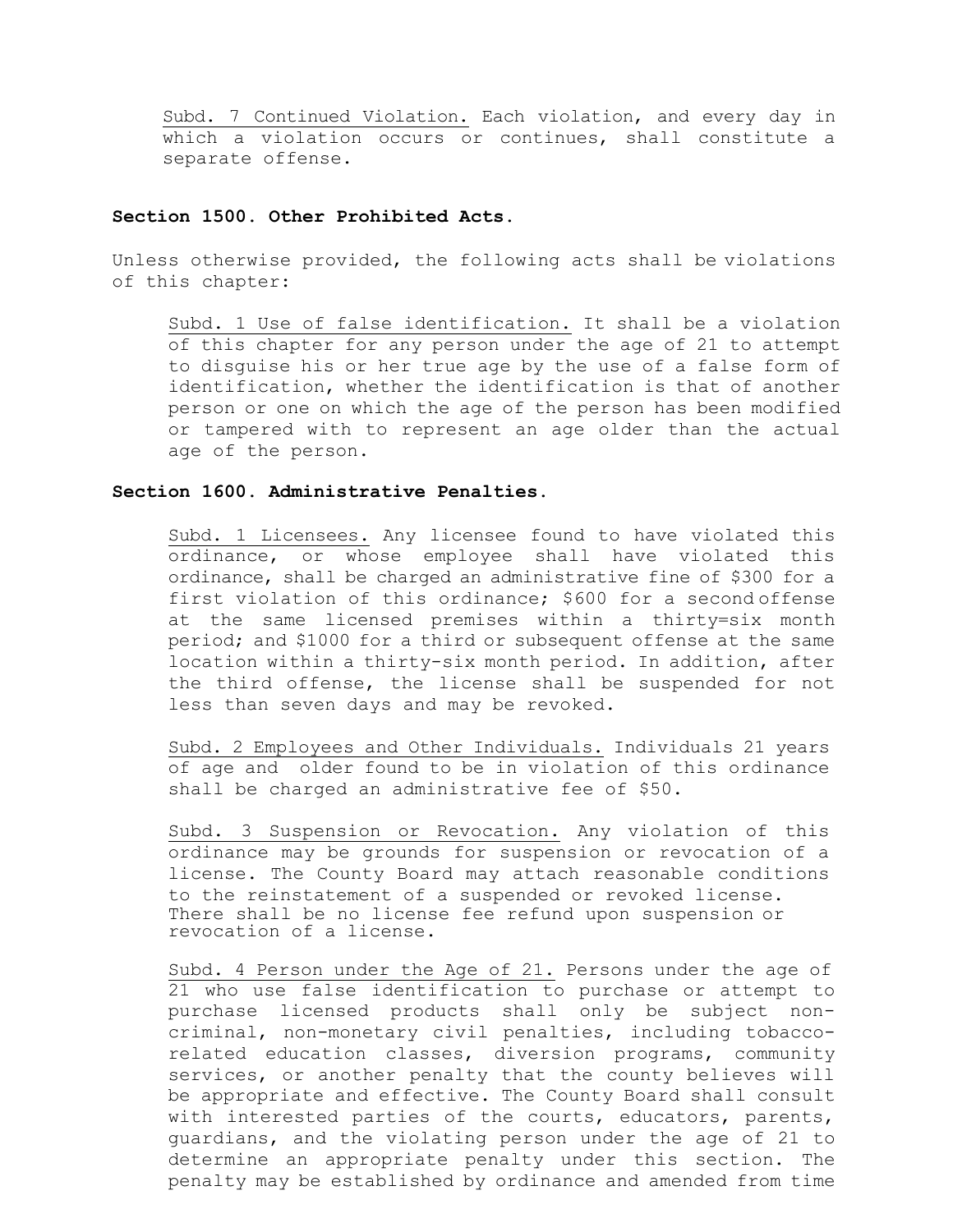Subd. 7 Continued Violation. Each violation, and every day in which a violation occurs or continues, shall constitute a separate offense.

### **Section 1500. Other Prohibited Acts.**

Unless otherwise provided, the following acts shall be violations of this chapter:

Subd. 1 Use of false identification. It shall be a violation of this chapter for any person under the age of 21 to attempt to disguise his or her true age by the use of a false form of identification, whether the identification is that of another person or one on which the age of the person has been modified or tampered with to represent an age older than the actual age of the person.

## **Section 1600. Administrative Penalties.**

Subd. 1 Licensees. Any licensee found to have violated this ordinance, or whose employee shall have violated this ordinance, shall be charged an administrative fine of \$300 for a first violation of this ordinance; \$600 for a second offense at the same licensed premises within a thirty=six month period; and \$1000 for a third or subsequent offense at the same location within a thirty-six month period. In addition, after the third offense, the license shall be suspended for not less than seven days and may be revoked.

Subd. 2 Employees and Other Individuals. Individuals 21 years of age and older found to be in violation of this ordinance shall be charged an administrative fee of \$50.

Subd. 3 Suspension or Revocation. Any violation of this ordinance may be grounds for suspension or revocation of a license. The County Board may attach reasonable conditions to the reinstatement of a suspended or revoked license. There shall be no license fee refund upon suspension or revocation of a license.

Subd. 4 Person under the Age of 21. Persons under the age of 21 who use false identification to purchase or attempt to purchase licensed products shall only be subject noncriminal, non-monetary civil penalties, including tobaccorelated education classes, diversion programs, community services, or another penalty that the county believes will be appropriate and effective. The County Board shall consult with interested parties of the courts, educators, parents, guardians, and the violating person under the age of 21 to determine an appropriate penalty under this section. The penalty may be established by ordinance and amended from time